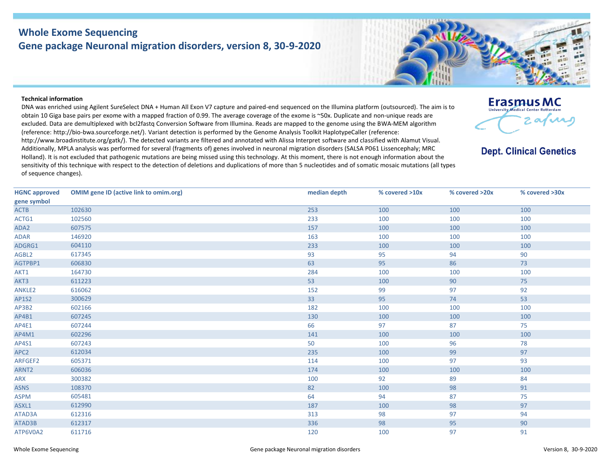## **Whole Exome Sequencing Gene package Neuronal migration disorders, version 8, 30-9-2020**



## **Technical information**

DNA was enriched using Agilent SureSelect DNA + Human All Exon V7 capture and paired-end sequenced on the Illumina platform (outsourced). The aim is to obtain 10 Giga base pairs per exome with a mapped fraction of 0.99. The average coverage of the exome is ~50x. Duplicate and non-unique reads are excluded. Data are demultiplexed with bcl2fastq Conversion Software from Illumina. Reads are mapped to the genome using the BWA-MEM algorithm (reference: http://bio‐bwa.sourceforge.net/). Variant detection is performed by the Genome Analysis Toolkit HaplotypeCaller (reference: http://www.broadinstitute.org/gatk/). The detected variants are filtered and annotated with Alissa Interpret software and classified with Alamut Visual. Additionally, MPLA analysis was performed for several (fragments of) genes involved in neuronal migration disorders (SALSA P061 Lissencephaly; MRC Holland). It is not excluded that pathogenic mutations are being missed using this technology. At this moment, there is not enough information about the sensitivity of this technique with respect to the detection of deletions and duplications of more than 5 nucleotides and of somatic mosaic mutations (all types of sequence changes).



**Dept. Clinical Genetics** 

| <b>HGNC approved</b> | <b>OMIM gene ID (active link to omim.org)</b> | median depth | % covered >10x | % covered >20x | % covered >30x |
|----------------------|-----------------------------------------------|--------------|----------------|----------------|----------------|
| gene symbol          |                                               |              |                |                |                |
| <b>ACTB</b>          | 102630                                        | 253          | 100            | 100            | 100            |
| ACTG1                | 102560                                        | 233          | 100            | 100            | 100            |
| ADA2                 | 607575                                        | 157          | 100            | 100            | 100            |
| <b>ADAR</b>          | 146920                                        | 163          | 100            | 100            | 100            |
| ADGRG1               | 604110                                        | 233          | 100            | 100            | 100            |
| AGBL2                | 617345                                        | 93           | 95             | 94             | 90             |
| AGTPBP1              | 606830                                        | 63           | 95             | 86             | 73             |
| AKT1                 | 164730                                        | 284          | 100            | 100            | 100            |
| AKT3                 | 611223                                        | 53           | 100            | 90             | 75             |
| ANKLE2               | 616062                                        | 152          | 99             | 97             | 92             |
| <b>AP1S2</b>         | 300629                                        | 33           | 95             | 74             | 53             |
| AP3B2                | 602166                                        | 182          | 100            | 100            | 100            |
| AP4B1                | 607245                                        | 130          | 100            | 100            | 100            |
| AP4E1                | 607244                                        | 66           | 97             | 87             | 75             |
| AP4M1                | 602296                                        | 141          | 100            | 100            | 100            |
| AP4S1                | 607243                                        | 50           | 100            | 96             | 78             |
| APC <sub>2</sub>     | 612034                                        | 235          | 100            | 99             | 97             |
| ARFGEF2              | 605371                                        | 114          | 100            | 97             | 93             |
| ARNT <sub>2</sub>    | 606036                                        | 174          | 100            | 100            | 100            |
| <b>ARX</b>           | 300382                                        | 100          | 92             | 89             | 84             |
| <b>ASNS</b>          | 108370                                        | 82           | 100            | 98             | 91             |
| <b>ASPM</b>          | 605481                                        | 64           | 94             | 87             | 75             |
| ASXL1                | 612990                                        | 187          | 100            | 98             | 97             |
| ATAD3A               | 612316                                        | 313          | 98             | 97             | 94             |
| ATAD3B               | 612317                                        | 336          | 98             | 95             | 90             |
| ATP6V0A2             | 611716                                        | 120          | 100            | 97             | 91             |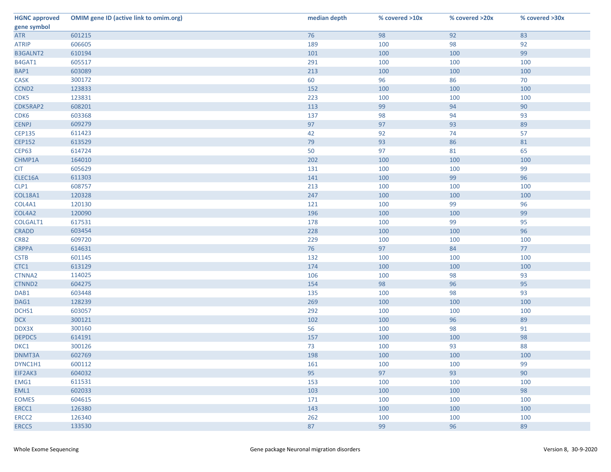| <b>HGNC approved</b> | <b>OMIM gene ID (active link to omim.org)</b> | median depth | % covered >10x | % covered >20x | % covered >30x |
|----------------------|-----------------------------------------------|--------------|----------------|----------------|----------------|
| gene symbol          |                                               |              |                |                |                |
| <b>ATR</b>           | 601215                                        | 76           | 98             | 92             | 83             |
| <b>ATRIP</b>         | 606605                                        | 189          | 100            | 98             | 92             |
| <b>B3GALNT2</b>      | 610194                                        | 101          | 100            | 100            | 99             |
| B4GAT1               | 605517                                        | 291          | 100            | 100            | 100            |
| BAP1                 | 603089                                        | 213          | 100            | 100            | 100            |
| <b>CASK</b>          | 300172                                        | 60           | 96             | 86             | 70             |
| CCND <sub>2</sub>    | 123833                                        | 152          | 100            | 100            | 100            |
| CDK5                 | 123831                                        | 223          | 100            | 100            | 100            |
| CDK5RAP2             | 608201                                        | 113          | 99             | 94             | 90             |
| CDK6                 | 603368                                        | 137          | 98             | 94             | 93             |
| <b>CENPJ</b>         | 609279                                        | 97           | 97             | 93             | 89             |
| <b>CEP135</b>        | 611423                                        | 42           | 92             | 74             | 57             |
| <b>CEP152</b>        | 613529                                        | 79           | 93             | 86             | 81             |
| <b>CEP63</b>         | 614724                                        | 50           | 97             | 81             | 65             |
| CHMP1A               | 164010                                        | 202          | 100            | 100            | 100            |
| <b>CIT</b>           | 605629                                        | 131          | 100            | 100            | 99             |
| CLEC16A              | 611303                                        | 141          | 100            | 99             | 96             |
| CLP1                 | 608757                                        | 213          | 100            | 100            | 100            |
| <b>COL18A1</b>       | 120328                                        | 247          | 100            | 100            | 100            |
| COL4A1               | 120130                                        | 121          | 100            | 99             | 96             |
| COL4A2               | 120090                                        | 196          | 100            | 100            | 99             |
| COLGALT1             | 617531                                        | 178          | 100            | 99             | 95             |
| <b>CRADD</b>         | 603454                                        | 228          | 100            | 100            | 96             |
| CRB <sub>2</sub>     | 609720                                        | 229          | 100            | 100            | 100            |
| <b>CRPPA</b>         | 614631                                        | 76           | 97             | 84             | 77             |
| <b>CSTB</b>          | 601145                                        | 132          | 100            | 100            | 100            |
| CTC1                 | 613129                                        | 174          | 100            | 100            | 100            |
| CTNNA2               | 114025                                        | 106          | 100            | 98             | 93             |
| CTNND2               | 604275                                        | 154          | 98             | 96             | 95             |
| DAB1                 | 603448                                        | 135          | 100            | 98             | 93             |
| DAG1                 | 128239                                        | 269          | 100            | 100            | 100            |
| DCHS1                | 603057                                        | 292          | 100            | 100            | 100            |
| <b>DCX</b>           | 300121                                        | 102          | 100            | 96             | 89             |
| DDX3X                | 300160                                        | 56           | 100            | 98             | 91             |
| DEPDC5               | 614191                                        | 157          | 100            | 100            | 98             |
| DKC1                 | 300126                                        | 73           | 100            | 93             | 88             |
| DNMT3A               | 602769                                        | 198          | 100            | 100            | 100            |
| DYNC1H1              | 600112                                        | 161          | 100            | 100            | 99             |
| EIF2AK3              | 604032                                        | 95           | 97             | 93             | 90             |
| EMG1                 | 611531                                        | 153          | 100            | 100            | 100            |
| EML1                 | 602033                                        | 103          | 100            | 100            | 98             |
| <b>EOMES</b>         | 604615                                        | 171          | 100            | 100            | 100            |
| ERCC1                | 126380                                        | 143          | 100            | 100            | 100            |
| ERCC <sub>2</sub>    | 126340                                        | 262          | 100            | 100            | 100            |
| ERCC5                | 133530                                        | 87           | 99             | 96             | 89             |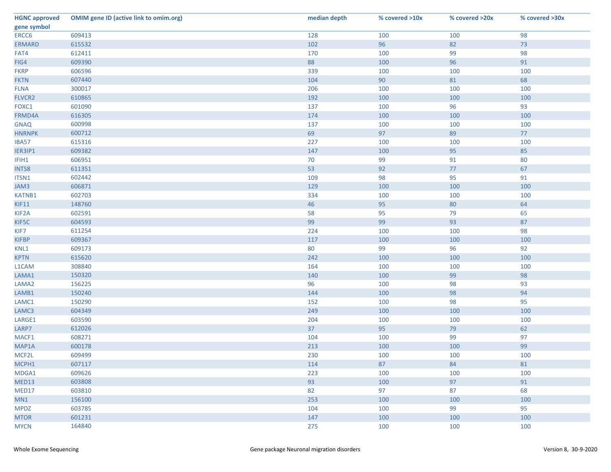| <b>HGNC approved</b> | <b>OMIM gene ID (active link to omim.org)</b> | median depth | % covered >10x | % covered >20x | % covered >30x |
|----------------------|-----------------------------------------------|--------------|----------------|----------------|----------------|
| gene symbol          |                                               |              |                |                |                |
| ERCC6                | 609413                                        | 128          | 100            | 100            | 98             |
| <b>ERMARD</b>        | 615532                                        | 102          | 96             | 82             | 73             |
| FAT4                 | 612411                                        | 170          | 100            | 99             | 98             |
| FIG4                 | 609390                                        | 88           | 100            | 96             | 91             |
| <b>FKRP</b>          | 606596                                        | 339          | 100            | 100            | 100            |
| <b>FKTN</b>          | 607440                                        | 104          | 90             | 81             | 68             |
| <b>FLNA</b>          | 300017                                        | 206          | 100            | 100            | 100            |
| FLVCR2               | 610865                                        | 192          | 100            | 100            | 100            |
| FOXC1                | 601090                                        | 137          | 100            | 96             | 93             |
| FRMD4A               | 616305                                        | 174          | 100            | 100            | 100            |
| <b>GNAQ</b>          | 600998                                        | 137          | 100            | 100            | 100            |
| <b>HNRNPK</b>        | 600712                                        | 69           | 97             | 89             | 77             |
| <b>IBA57</b>         | 615316                                        | 227          | 100            | 100            | 100            |
| IER3IP1              | 609382                                        | 147          | 100            | 95             | 85             |
| IFIH1                | 606951                                        | 70           | 99             | 91             | 80             |
| <b>INTS8</b>         | 611351                                        | 53           | 92             | 77             | 67             |
| ITSN1                | 602442                                        | 109          | 98             | 95             | 91             |
| JAM3                 | 606871                                        | 129          | 100            | 100            | 100            |
| KATNB1               | 602703                                        | 334          | 100            | 100            | 100            |
| KIF11                | 148760                                        | 46           | 95             | 80             | 64             |
| KIF <sub>2</sub> A   | 602591                                        | 58           | 95             | 79             | 65             |
| KIF5C                | 604593                                        | 99           | 99             | 93             | 87             |
| KIF7                 | 611254                                        | 224          | 100            | 100            | 98             |
| <b>KIFBP</b>         | 609367                                        | 117          | 100            | 100            | 100            |
| KNL1                 | 609173                                        | 80           | 99             | 96             | 92             |
| <b>KPTN</b>          | 615620                                        | 242          | 100            | 100            | 100            |
| L1CAM                | 308840                                        | 164          | 100            | 100            | 100            |
| LAMA1                | 150320                                        | 140          | 100            | 99             | 98             |
| LAMA <sub>2</sub>    | 156225                                        | 96           | 100            | 98             | 93             |
| LAMB1                | 150240                                        | 144          | 100            | 98             | 94             |
| LAMC1                | 150290                                        | 152          | 100            | 98             | 95             |
| LAMC3                | 604349                                        | 249          | 100            | 100            | 100            |
| LARGE1               | 603590                                        | 204          | 100            | 100            | 100            |
| LARP7                | 612026                                        | 37           | 95             | 79             | 62             |
| MACF1                | 608271                                        | 104          | 100            | 99             | 97             |
| MAP1A                | 600178                                        | 213          | 100            | 100            | 99             |
| MCF2L                | 609499                                        | 230          | 100            | 100            | 100            |
| MCPH1                | 607117                                        | 114          | 87             | 84             | 81             |
| MDGA1                | 609626                                        | 223          | 100            | 100            | 100            |
| MED13                | 603808                                        | 93           | 100            | 97             | 91             |
| MED17                | 603810                                        | 82           | 97             | 87             | 68             |
| MN1                  | 156100                                        | 253          | 100            | 100            | 100            |
| <b>MPDZ</b>          | 603785                                        | 104          | 100            | 99             | 95             |
| <b>MTOR</b>          | 601231                                        | 147          | 100            | 100            | 100            |
| <b>MYCN</b>          | 164840                                        | 275          | 100            | 100            | 100            |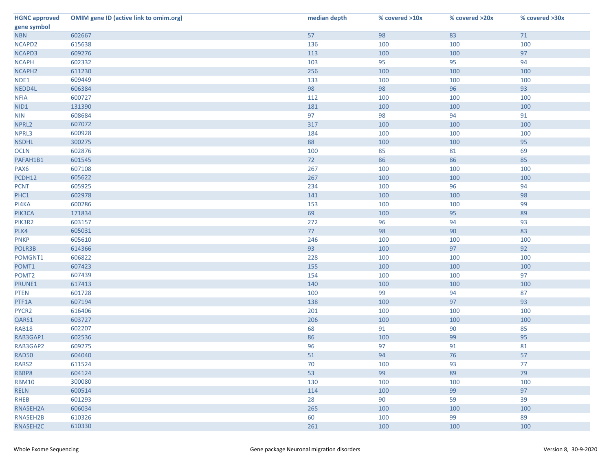| <b>HGNC approved</b> | <b>OMIM gene ID (active link to omim.org)</b> | median depth | % covered >10x | % covered >20x | % covered >30x |
|----------------------|-----------------------------------------------|--------------|----------------|----------------|----------------|
| gene symbol          |                                               |              |                |                |                |
| <b>NBN</b>           | 602667                                        | 57           | 98             | 83             | 71             |
| NCAPD2               | 615638                                        | 136          | 100            | 100            | 100            |
| NCAPD3               | 609276                                        | 113          | 100            | 100            | 97             |
| <b>NCAPH</b>         | 602332                                        | 103          | 95             | 95             | 94             |
| NCAPH <sub>2</sub>   | 611230                                        | 256          | 100            | 100            | 100            |
| NDE1                 | 609449                                        | 133          | 100            | 100            | 100            |
| NEDD4L               | 606384                                        | 98           | 98             | 96             | 93             |
| <b>NFIA</b>          | 600727                                        | 112          | 100            | 100            | 100            |
| NID1                 | 131390                                        | 181          | 100            | 100            | 100            |
| <b>NIN</b>           | 608684                                        | 97           | 98             | 94             | 91             |
| NPRL2                | 607072                                        | 317          | 100            | 100            | 100            |
| NPRL3                | 600928                                        | 184          | 100            | 100            | 100            |
| <b>NSDHL</b>         | 300275                                        | 88           | 100            | 100            | 95             |
| <b>OCLN</b>          | 602876                                        | 100          | 85             | 81             | 69             |
| PAFAH1B1             | 601545                                        | 72           | 86             | 86             | 85             |
| PAX <sub>6</sub>     | 607108                                        | 267          | 100            | 100            | 100            |
| PCDH12               | 605622                                        | 267          | 100            | 100            | 100            |
| <b>PCNT</b>          | 605925                                        | 234          | 100            | 96             | 94             |
| PHC1                 | 602978                                        | 141          | 100            | 100            | 98             |
| PI4KA                | 600286                                        | 153          | 100            | 100            | 99             |
| PIK3CA               | 171834                                        | 69           | 100            | 95             | 89             |
| PIK3R2               | 603157                                        | 272          | 96             | 94             | 93             |
| PLK4                 | 605031                                        | 77           | 98             | 90             | 83             |
| <b>PNKP</b>          | 605610                                        | 246          | 100            | 100            | 100            |
| POLR3B               | 614366                                        | 93           | 100            | 97             | 92             |
| POMGNT1              | 606822                                        | 228          | 100            | 100            | 100            |
| POMT1                | 607423                                        | 155          | 100            | 100            | 100            |
| POMT <sub>2</sub>    | 607439                                        | 154          | 100            | 100            | 97             |
| PRUNE1               | 617413                                        | 140          | 100            | 100            | 100            |
| <b>PTEN</b>          | 601728                                        | 100          | 99             | 94             | 87             |
| PTF1A                | 607194                                        | 138          | 100            | 97             | 93             |
| PYCR2                | 616406                                        | 201          | 100            | 100            | 100            |
| QARS1                | 603727                                        | 206          | 100            | 100            | 100            |
| <b>RAB18</b>         | 602207                                        | 68           | 91             | 90             | 85             |
| RAB3GAP1             | 602536                                        | 86           | 100            | 99             | 95             |
| RAB3GAP2             | 609275                                        | 96           | 97             | 91             | 81             |
| <b>RAD50</b>         | 604040                                        | 51           | 94             | 76             | 57             |
| RARS <sub>2</sub>    | 611524                                        | 70           | 100            | 93             | 77             |
| RBBP8                | 604124                                        | 53           | 99             | 89             | 79             |
| <b>RBM10</b>         | 300080                                        | 130          | 100            | 100            | 100            |
| <b>RELN</b>          | 600514                                        | 114          | 100            | 99             | 97             |
| <b>RHEB</b>          | 601293                                        | 28           | 90             | 59             | 39             |
| RNASEH2A             | 606034                                        | 265          | 100            | 100            | 100            |
| RNASEH2B             | 610326                                        | 60           | 100            | 99             | 89             |
| RNASEH2C             | 610330                                        | 261          | 100            | 100            | 100            |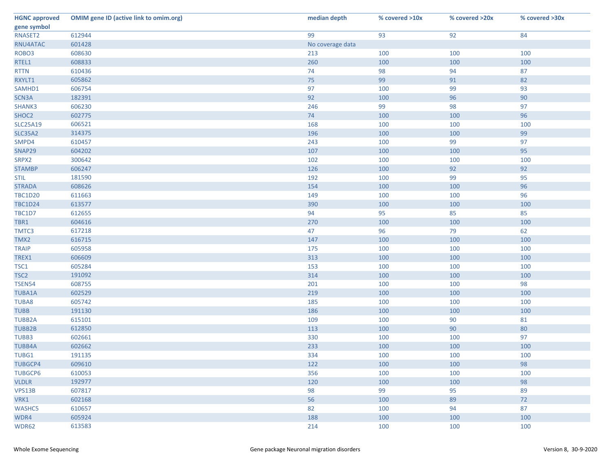| <b>HGNC approved</b> | <b>OMIM gene ID (active link to omim.org)</b> | median depth     | % covered >10x | % covered >20x | % covered >30x |
|----------------------|-----------------------------------------------|------------------|----------------|----------------|----------------|
| gene symbol          |                                               |                  |                |                |                |
| RNASET2              | 612944                                        | 99               | 93             | 92             | 84             |
| RNU4ATAC             | 601428                                        | No coverage data |                |                |                |
| ROBO <sub>3</sub>    | 608630                                        | 213              | 100            | 100            | 100            |
| RTEL1                | 608833                                        | 260              | 100            | 100            | 100            |
| <b>RTTN</b>          | 610436                                        | 74               | 98             | 94             | 87             |
| RXYLT1               | 605862                                        | 75               | 99             | 91             | 82             |
| SAMHD1               | 606754                                        | 97               | 100            | 99             | 93             |
| SCN3A                | 182391                                        | 92               | 100            | 96             | 90             |
| SHANK3               | 606230                                        | 246              | 99             | 98             | 97             |
| SHOC2                | 602775                                        | 74               | 100            | 100            | 96             |
| <b>SLC25A19</b>      | 606521                                        | 168              | 100            | 100            | 100            |
| <b>SLC35A2</b>       | 314375                                        | 196              | 100            | 100            | 99             |
| SMPD4                | 610457                                        | 243              | 100            | 99             | 97             |
| SNAP29               | 604202                                        | 107              | 100            | 100            | 95             |
| SRPX2                | 300642                                        | 102              | 100            | 100            | 100            |
| <b>STAMBP</b>        | 606247                                        | 126              | 100            | 92             | 92             |
| <b>STIL</b>          | 181590                                        | 192              | 100            | 99             | 95             |
| <b>STRADA</b>        | 608626                                        | 154              | 100            | 100            | 96             |
| <b>TBC1D20</b>       | 611663                                        | 149              | 100            | 100            | 96             |
| <b>TBC1D24</b>       | 613577                                        | 390              | 100            | 100            | 100            |
| TBC1D7               | 612655                                        | 94               | 95             | 85             | 85             |
| TBR1                 | 604616                                        | 270              | 100            | 100            | 100            |
| TMTC3                | 617218                                        | 47               | 96             | 79             | 62             |
| TMX2                 | 616715                                        | 147              | 100            | 100            | 100            |
| <b>TRAIP</b>         | 605958                                        | 175              | 100            | 100            | 100            |
| TREX1                | 606609                                        | 313              | 100            | 100            | 100            |
| TSC1                 | 605284                                        | 153              | 100            | 100            | 100            |
| TSC <sub>2</sub>     | 191092                                        | 314              | 100            | 100            | 100            |
| <b>TSEN54</b>        | 608755                                        | 201              | 100            | 100            | 98             |
| <b>TUBA1A</b>        | 602529                                        | 219              | 100            | 100            | 100            |
| <b>TUBA8</b>         | 605742                                        | 185              | 100            | 100            | 100            |
| <b>TUBB</b>          | 191130                                        | 186              | 100            | 100            | 100            |
| <b>TUBB2A</b>        | 615101                                        | 109              | 100            | 90             | 81             |
| <b>TUBB2B</b>        | 612850                                        | 113              | 100            | 90             | 80             |
| TUBB3                | 602661                                        | 330              | 100            | 100            | 97             |
| <b>TUBB4A</b>        | 602662                                        | 233              | 100            | 100            | 100            |
| TUBG1                | 191135                                        | 334              | 100            | 100            | 100            |
| <b>TUBGCP4</b>       | 609610                                        | 122              | 100            | 100            | 98             |
| <b>TUBGCP6</b>       | 610053                                        | 356              | 100            | 100            | 100            |
| <b>VLDLR</b>         | 192977                                        | 120              | 100            | 100            | 98             |
| VPS13B               | 607817                                        | 98               | 99             | 95             | 89             |
| VRK1                 | 602168                                        | 56               | 100            | 89             | 72             |
| WASHC5               | 610657                                        | 82               | 100            | 94             | 87             |
| WDR4                 | 605924                                        | 188              | 100            | 100            | 100            |
| WDR62                | 613583                                        | 214              | 100            | 100            | 100            |